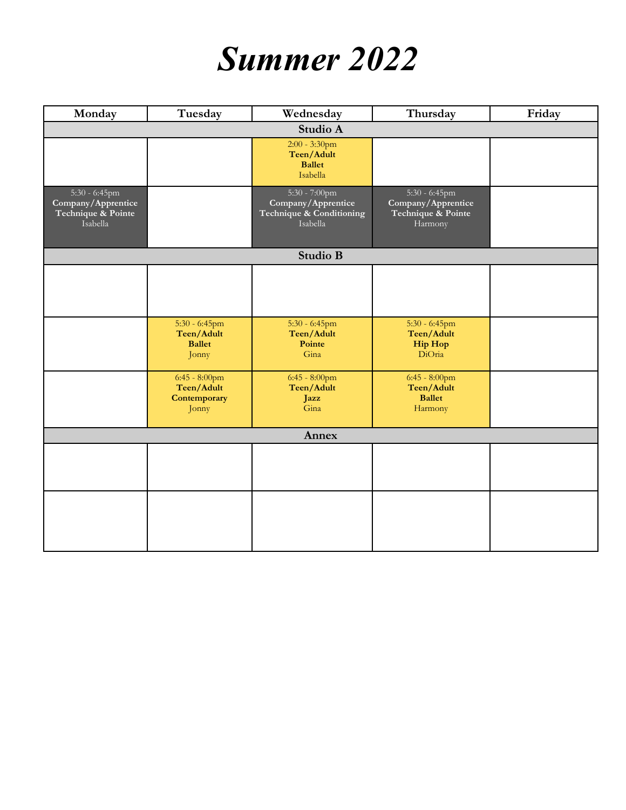## *Summer 2022*

| Monday                                                                   | Tuesday                                                  | Wednesday                                                                   | Thursday                                                                | Friday |
|--------------------------------------------------------------------------|----------------------------------------------------------|-----------------------------------------------------------------------------|-------------------------------------------------------------------------|--------|
| Studio A                                                                 |                                                          |                                                                             |                                                                         |        |
|                                                                          |                                                          | $2:00 - 3:30$ pm<br>Teen/Adult<br><b>Ballet</b><br>Isabella                 |                                                                         |        |
| $5:30 - 6:45$ pm<br>Company/Apprentice<br>Technique & Pointe<br>Isabella |                                                          | 5:30 - 7:00pm<br>Company/Apprentice<br>Technique & Conditioning<br>Isabella | $5:30 - 6:45$ pm<br>Company/Apprentice<br>Technique & Pointe<br>Harmony |        |
| Studio B                                                                 |                                                          |                                                                             |                                                                         |        |
|                                                                          |                                                          |                                                                             |                                                                         |        |
|                                                                          | $5:30 - 6:45$ pm<br>Teen/Adult<br><b>Ballet</b><br>Jonny | $5:30 - 6:45$ pm<br>Teen/Adult<br>Pointe<br>Gina                            | $5:30 - 6:45$ pm<br>Teen/Adult<br><b>Hip Hop</b><br>DiOria              |        |
|                                                                          | $6:45 - 8:00$ pm<br>Teen/Adult<br>Contemporary<br>Jonny  | $6:45 - 8:00$ pm<br>Teen/Adult<br>Jazz<br>Gina                              | $6:45 - 8:00$ pm<br>Teen/Adult<br><b>Ballet</b><br>Harmony              |        |
| Annex                                                                    |                                                          |                                                                             |                                                                         |        |
|                                                                          |                                                          |                                                                             |                                                                         |        |
|                                                                          |                                                          |                                                                             |                                                                         |        |